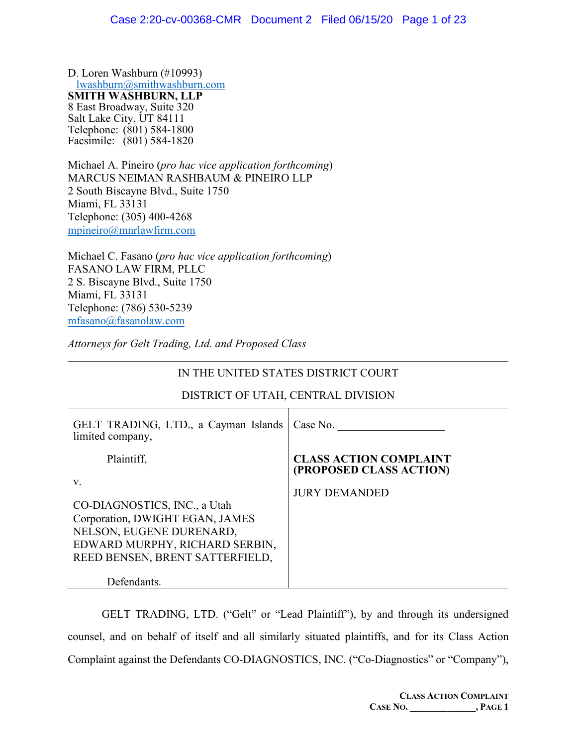D. Loren Washburn (#10993) [lwashburn@smithwashburn.com](mailto:lwashburn@smithwashburn.com) **SMITH WASHBURN, LLP** 8 East Broadway, Suite 320 Salt Lake City, UT 84111 Telephone: (801) 584-1800 Facsimile: (801) 584-1820

Michael A. Pineiro (*pro hac vice application forthcoming*) MARCUS NEIMAN RASHBAUM & PINEIRO LLP 2 South Biscayne Blvd., Suite 1750 Miami, FL 33131 Telephone: (305) 400-4268 [mpineiro@mnrlawfirm.com](mailto:mpineiro@mnrlawfirm.com)

Michael C. Fasano (*pro hac vice application forthcoming*) FASANO LAW FIRM, PLLC 2 S. Biscayne Blvd., Suite 1750 Miami, FL 33131 Telephone: (786) 530-5239 [mfasano@fasanolaw.com](mailto:mfasano@fasanolaw.com)

*Attorneys for Gelt Trading, Ltd. and Proposed Class*

## IN THE UNITED STATES DISTRICT COURT

| GELT TRADING, LTD., a Cayman Islands<br>limited company,                                                                                                               | Case No.                                                 |
|------------------------------------------------------------------------------------------------------------------------------------------------------------------------|----------------------------------------------------------|
| Plaintiff,                                                                                                                                                             | <b>CLASS ACTION COMPLAINT</b><br>(PROPOSED CLASS ACTION) |
| V.<br>CO-DIAGNOSTICS, INC., a Utah<br>Corporation, DWIGHT EGAN, JAMES<br>NELSON, EUGENE DURENARD,<br>EDWARD MURPHY, RICHARD SERBIN,<br>REED BENSEN, BRENT SATTERFIELD, | <b>JURY DEMANDED</b>                                     |
| Defendants.                                                                                                                                                            |                                                          |

## DISTRICT OF UTAH, CENTRAL DIVISION

GELT TRADING, LTD. ("Gelt" or "Lead Plaintiff"), by and through its undersigned counsel, and on behalf of itself and all similarly situated plaintiffs, and for its Class Action Complaint against the Defendants CO-DIAGNOSTICS, INC. ("Co-Diagnostics" or "Company"),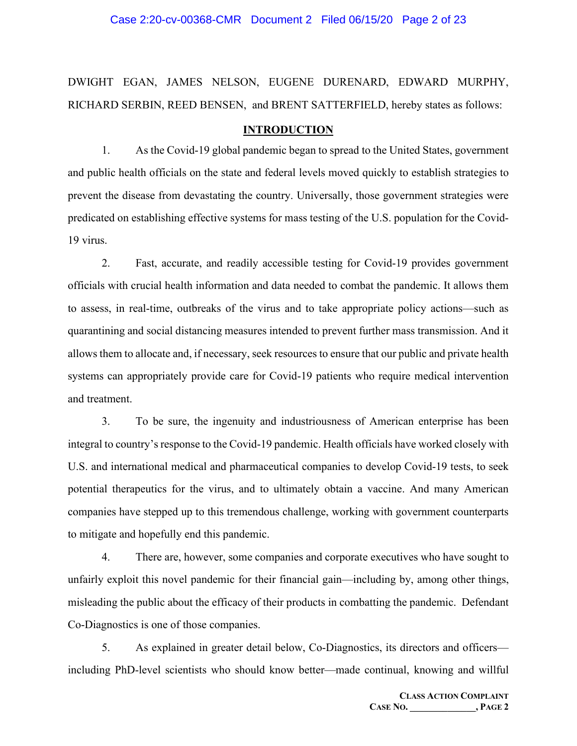#### Case 2:20-cv-00368-CMR Document 2 Filed 06/15/20 Page 2 of 23

## DWIGHT EGAN, JAMES NELSON, EUGENE DURENARD, EDWARD MURPHY, RICHARD SERBIN, REED BENSEN, and BRENT SATTERFIELD, hereby states as follows:

#### **INTRODUCTION**

1. As the Covid-19 global pandemic began to spread to the United States, government and public health officials on the state and federal levels moved quickly to establish strategies to prevent the disease from devastating the country. Universally, those government strategies were predicated on establishing effective systems for mass testing of the U.S. population for the Covid-19 virus.

2. Fast, accurate, and readily accessible testing for Covid-19 provides government officials with crucial health information and data needed to combat the pandemic. It allows them to assess, in real-time, outbreaks of the virus and to take appropriate policy actions—such as quarantining and social distancing measures intended to prevent further mass transmission. And it allows them to allocate and, if necessary, seek resources to ensure that our public and private health systems can appropriately provide care for Covid-19 patients who require medical intervention and treatment.

3. To be sure, the ingenuity and industriousness of American enterprise has been integral to country's response to the Covid-19 pandemic. Health officials have worked closely with U.S. and international medical and pharmaceutical companies to develop Covid-19 tests, to seek potential therapeutics for the virus, and to ultimately obtain a vaccine. And many American companies have stepped up to this tremendous challenge, working with government counterparts to mitigate and hopefully end this pandemic.

4. There are, however, some companies and corporate executives who have sought to unfairly exploit this novel pandemic for their financial gain—including by, among other things, misleading the public about the efficacy of their products in combatting the pandemic. Defendant Co-Diagnostics is one of those companies.

5. As explained in greater detail below, Co-Diagnostics, its directors and officers including PhD-level scientists who should know better—made continual, knowing and willful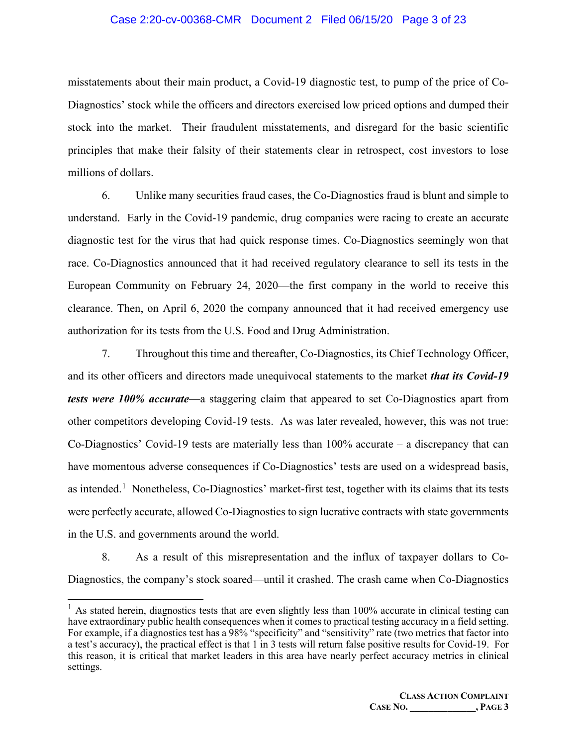#### Case 2:20-cv-00368-CMR Document 2 Filed 06/15/20 Page 3 of 23

misstatements about their main product, a Covid-19 diagnostic test, to pump of the price of Co-Diagnostics' stock while the officers and directors exercised low priced options and dumped their stock into the market. Their fraudulent misstatements, and disregard for the basic scientific principles that make their falsity of their statements clear in retrospect, cost investors to lose millions of dollars.

6. Unlike many securities fraud cases, the Co-Diagnostics fraud is blunt and simple to understand. Early in the Covid-19 pandemic, drug companies were racing to create an accurate diagnostic test for the virus that had quick response times. Co-Diagnostics seemingly won that race. Co-Diagnostics announced that it had received regulatory clearance to sell its tests in the European Community on February 24, 2020—the first company in the world to receive this clearance. Then, on April 6, 2020 the company announced that it had received emergency use authorization for its tests from the U.S. Food and Drug Administration.

7. Throughout this time and thereafter, Co-Diagnostics, its Chief Technology Officer, and its other officers and directors made unequivocal statements to the market *that its Covid-19 tests were 100% accurate*—a staggering claim that appeared to set Co-Diagnostics apart from other competitors developing Covid-19 tests. As was later revealed, however, this was not true: Co-Diagnostics' Covid-19 tests are materially less than 100% accurate – a discrepancy that can have momentous adverse consequences if Co-Diagnostics' tests are used on a widespread basis, as intended.<sup>[1](#page-2-0)</sup> Nonetheless, Co-Diagnostics' market-first test, together with its claims that its tests were perfectly accurate, allowed Co-Diagnostics to sign lucrative contracts with state governments in the U.S. and governments around the world.

8. As a result of this misrepresentation and the influx of taxpayer dollars to Co-Diagnostics, the company's stock soared—until it crashed. The crash came when Co-Diagnostics

<span id="page-2-0"></span><sup>&</sup>lt;sup>1</sup> As stated herein, diagnostics tests that are even slightly less than 100% accurate in clinical testing can have extraordinary public health consequences when it comes to practical testing accuracy in a field setting. For example, if a diagnostics test has a 98% "specificity" and "sensitivity" rate (two metrics that factor into a test's accuracy), the practical effect is that 1 in 3 tests will return false positive results for Covid-19. For this reason, it is critical that market leaders in this area have nearly perfect accuracy metrics in clinical settings.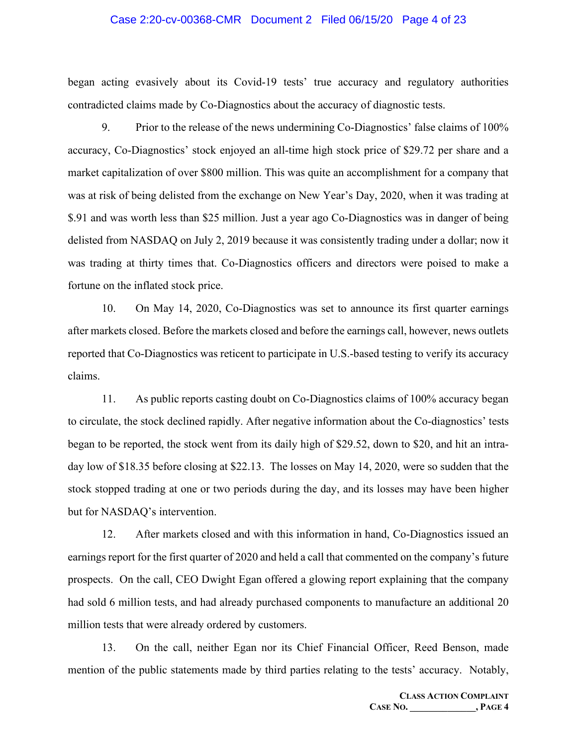#### Case 2:20-cv-00368-CMR Document 2 Filed 06/15/20 Page 4 of 23

began acting evasively about its Covid-19 tests' true accuracy and regulatory authorities contradicted claims made by Co-Diagnostics about the accuracy of diagnostic tests.

9. Prior to the release of the news undermining Co-Diagnostics' false claims of 100% accuracy, Co-Diagnostics' stock enjoyed an all-time high stock price of \$29.72 per share and a market capitalization of over \$800 million. This was quite an accomplishment for a company that was at risk of being delisted from the exchange on New Year's Day, 2020, when it was trading at \$.91 and was worth less than \$25 million. Just a year ago Co-Diagnostics was in danger of being delisted from NASDAQ on July 2, 2019 because it was consistently trading under a dollar; now it was trading at thirty times that. Co-Diagnostics officers and directors were poised to make a fortune on the inflated stock price.

10. On May 14, 2020, Co-Diagnostics was set to announce its first quarter earnings after markets closed. Before the markets closed and before the earnings call, however, news outlets reported that Co-Diagnostics was reticent to participate in U.S.-based testing to verify its accuracy claims.

11. As public reports casting doubt on Co-Diagnostics claims of 100% accuracy began to circulate, the stock declined rapidly. After negative information about the Co-diagnostics' tests began to be reported, the stock went from its daily high of \$29.52, down to \$20, and hit an intraday low of \$18.35 before closing at \$22.13. The losses on May 14, 2020, were so sudden that the stock stopped trading at one or two periods during the day, and its losses may have been higher but for NASDAQ's intervention.

12. After markets closed and with this information in hand, Co-Diagnostics issued an earnings report for the first quarter of 2020 and held a call that commented on the company's future prospects. On the call, CEO Dwight Egan offered a glowing report explaining that the company had sold 6 million tests, and had already purchased components to manufacture an additional 20 million tests that were already ordered by customers.

13. On the call, neither Egan nor its Chief Financial Officer, Reed Benson, made mention of the public statements made by third parties relating to the tests' accuracy. Notably,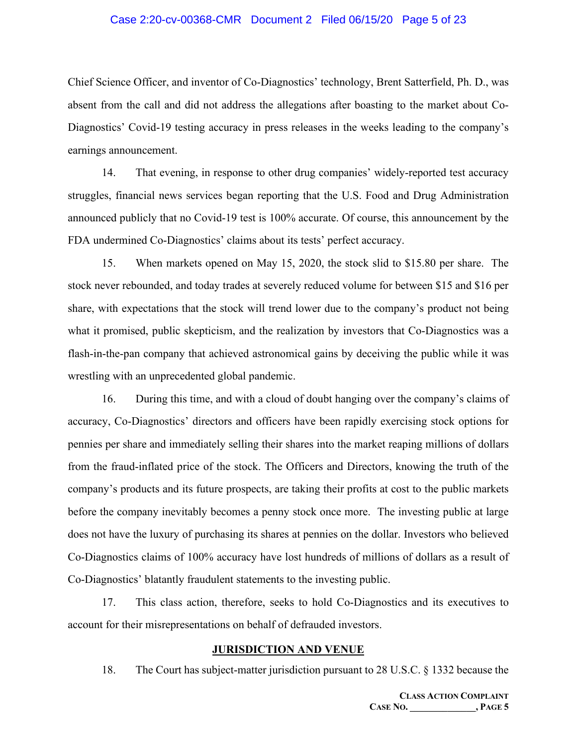#### Case 2:20-cv-00368-CMR Document 2 Filed 06/15/20 Page 5 of 23

Chief Science Officer, and inventor of Co-Diagnostics' technology, Brent Satterfield, Ph. D., was absent from the call and did not address the allegations after boasting to the market about Co-Diagnostics' Covid-19 testing accuracy in press releases in the weeks leading to the company's earnings announcement.

14. That evening, in response to other drug companies' widely-reported test accuracy struggles, financial news services began reporting that the U.S. Food and Drug Administration announced publicly that no Covid-19 test is 100% accurate. Of course, this announcement by the FDA undermined Co-Diagnostics' claims about its tests' perfect accuracy.

15. When markets opened on May 15, 2020, the stock slid to \$15.80 per share. The stock never rebounded, and today trades at severely reduced volume for between \$15 and \$16 per share, with expectations that the stock will trend lower due to the company's product not being what it promised, public skepticism, and the realization by investors that Co-Diagnostics was a flash-in-the-pan company that achieved astronomical gains by deceiving the public while it was wrestling with an unprecedented global pandemic.

16. During this time, and with a cloud of doubt hanging over the company's claims of accuracy, Co-Diagnostics' directors and officers have been rapidly exercising stock options for pennies per share and immediately selling their shares into the market reaping millions of dollars from the fraud-inflated price of the stock. The Officers and Directors, knowing the truth of the company's products and its future prospects, are taking their profits at cost to the public markets before the company inevitably becomes a penny stock once more. The investing public at large does not have the luxury of purchasing its shares at pennies on the dollar. Investors who believed Co-Diagnostics claims of 100% accuracy have lost hundreds of millions of dollars as a result of Co-Diagnostics' blatantly fraudulent statements to the investing public.

17. This class action, therefore, seeks to hold Co-Diagnostics and its executives to account for their misrepresentations on behalf of defrauded investors.

#### **JURISDICTION AND VENUE**

18. The Court has subject-matter jurisdiction pursuant to 28 U.S.C. § 1332 because the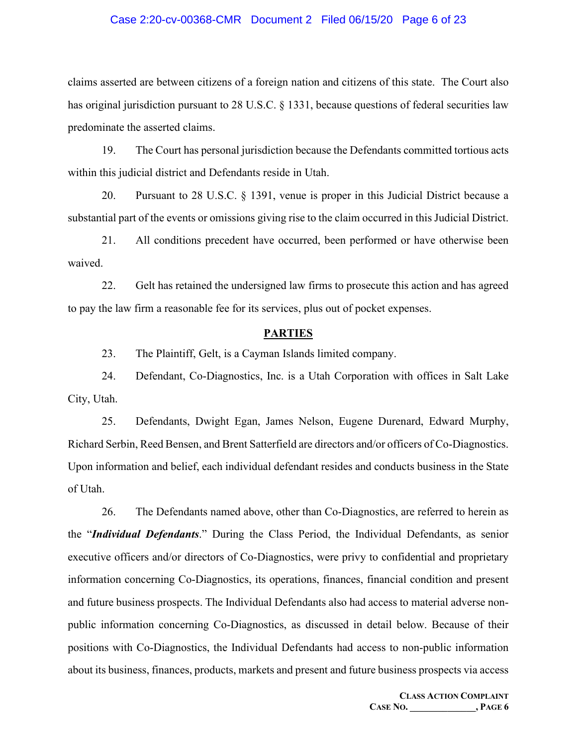#### Case 2:20-cv-00368-CMR Document 2 Filed 06/15/20 Page 6 of 23

claims asserted are between citizens of a foreign nation and citizens of this state. The Court also has original jurisdiction pursuant to 28 U.S.C. § 1331, because questions of federal securities law predominate the asserted claims.

19. The Court has personal jurisdiction because the Defendants committed tortious acts within this judicial district and Defendants reside in Utah.

20. Pursuant to 28 U.S.C. § 1391, venue is proper in this Judicial District because a substantial part of the events or omissions giving rise to the claim occurred in this Judicial District.

21. All conditions precedent have occurred, been performed or have otherwise been waived.

22. Gelt has retained the undersigned law firms to prosecute this action and has agreed to pay the law firm a reasonable fee for its services, plus out of pocket expenses.

## **PARTIES**

23. The Plaintiff, Gelt, is a Cayman Islands limited company.

24. Defendant, Co-Diagnostics, Inc. is a Utah Corporation with offices in Salt Lake City, Utah.

25. Defendants, Dwight Egan, James Nelson, Eugene Durenard, Edward Murphy, Richard Serbin, Reed Bensen, and Brent Satterfield are directors and/or officers of Co-Diagnostics. Upon information and belief, each individual defendant resides and conducts business in the State of Utah.

26. The Defendants named above, other than Co-Diagnostics, are referred to herein as the "*Individual Defendants*." During the Class Period, the Individual Defendants, as senior executive officers and/or directors of Co-Diagnostics, were privy to confidential and proprietary information concerning Co-Diagnostics, its operations, finances, financial condition and present and future business prospects. The Individual Defendants also had access to material adverse nonpublic information concerning Co-Diagnostics, as discussed in detail below. Because of their positions with Co-Diagnostics, the Individual Defendants had access to non-public information about its business, finances, products, markets and present and future business prospects via access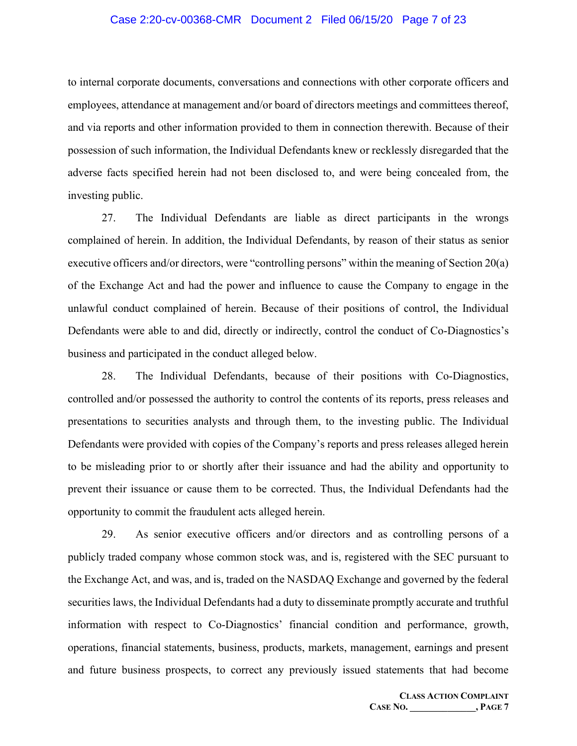#### Case 2:20-cv-00368-CMR Document 2 Filed 06/15/20 Page 7 of 23

to internal corporate documents, conversations and connections with other corporate officers and employees, attendance at management and/or board of directors meetings and committees thereof, and via reports and other information provided to them in connection therewith. Because of their possession of such information, the Individual Defendants knew or recklessly disregarded that the adverse facts specified herein had not been disclosed to, and were being concealed from, the investing public.

27. The Individual Defendants are liable as direct participants in the wrongs complained of herein. In addition, the Individual Defendants, by reason of their status as senior executive officers and/or directors, were "controlling persons" within the meaning of Section 20(a) of the Exchange Act and had the power and influence to cause the Company to engage in the unlawful conduct complained of herein. Because of their positions of control, the Individual Defendants were able to and did, directly or indirectly, control the conduct of Co-Diagnostics's business and participated in the conduct alleged below.

28. The Individual Defendants, because of their positions with Co-Diagnostics, controlled and/or possessed the authority to control the contents of its reports, press releases and presentations to securities analysts and through them, to the investing public. The Individual Defendants were provided with copies of the Company's reports and press releases alleged herein to be misleading prior to or shortly after their issuance and had the ability and opportunity to prevent their issuance or cause them to be corrected. Thus, the Individual Defendants had the opportunity to commit the fraudulent acts alleged herein.

29. As senior executive officers and/or directors and as controlling persons of a publicly traded company whose common stock was, and is, registered with the SEC pursuant to the Exchange Act, and was, and is, traded on the NASDAQ Exchange and governed by the federal securities laws, the Individual Defendants had a duty to disseminate promptly accurate and truthful information with respect to Co-Diagnostics' financial condition and performance, growth, operations, financial statements, business, products, markets, management, earnings and present and future business prospects, to correct any previously issued statements that had become

> **CLASS ACTION COMPLAINT CASE NO. \_\_\_\_\_\_\_\_\_\_\_\_\_\_, PAGE 7**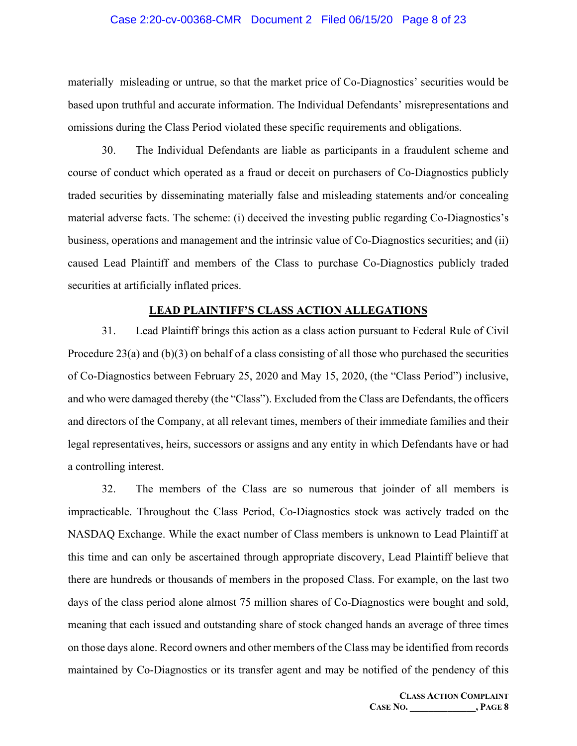#### Case 2:20-cv-00368-CMR Document 2 Filed 06/15/20 Page 8 of 23

materially misleading or untrue, so that the market price of Co-Diagnostics' securities would be based upon truthful and accurate information. The Individual Defendants' misrepresentations and omissions during the Class Period violated these specific requirements and obligations.

30. The Individual Defendants are liable as participants in a fraudulent scheme and course of conduct which operated as a fraud or deceit on purchasers of Co-Diagnostics publicly traded securities by disseminating materially false and misleading statements and/or concealing material adverse facts. The scheme: (i) deceived the investing public regarding Co-Diagnostics's business, operations and management and the intrinsic value of Co-Diagnostics securities; and (ii) caused Lead Plaintiff and members of the Class to purchase Co-Diagnostics publicly traded securities at artificially inflated prices.

## **LEAD PLAINTIFF'S CLASS ACTION ALLEGATIONS**

31. Lead Plaintiff brings this action as a class action pursuant to Federal Rule of Civil Procedure 23(a) and (b)(3) on behalf of a class consisting of all those who purchased the securities of Co-Diagnostics between February 25, 2020 and May 15, 2020, (the "Class Period") inclusive, and who were damaged thereby (the "Class"). Excluded from the Class are Defendants, the officers and directors of the Company, at all relevant times, members of their immediate families and their legal representatives, heirs, successors or assigns and any entity in which Defendants have or had a controlling interest.

32. The members of the Class are so numerous that joinder of all members is impracticable. Throughout the Class Period, Co-Diagnostics stock was actively traded on the NASDAQ Exchange. While the exact number of Class members is unknown to Lead Plaintiff at this time and can only be ascertained through appropriate discovery, Lead Plaintiff believe that there are hundreds or thousands of members in the proposed Class. For example, on the last two days of the class period alone almost 75 million shares of Co-Diagnostics were bought and sold, meaning that each issued and outstanding share of stock changed hands an average of three times on those days alone. Record owners and other members of the Class may be identified from records maintained by Co-Diagnostics or its transfer agent and may be notified of the pendency of this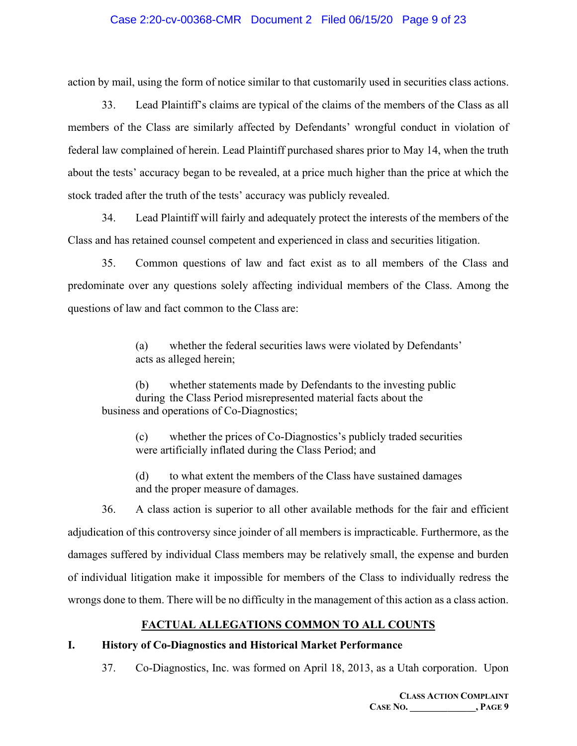## Case 2:20-cv-00368-CMR Document 2 Filed 06/15/20 Page 9 of 23

action by mail, using the form of notice similar to that customarily used in securities class actions.

33. Lead Plaintiff's claims are typical of the claims of the members of the Class as all members of the Class are similarly affected by Defendants' wrongful conduct in violation of federal law complained of herein. Lead Plaintiff purchased shares prior to May 14, when the truth about the tests' accuracy began to be revealed, at a price much higher than the price at which the stock traded after the truth of the tests' accuracy was publicly revealed.

34. Lead Plaintiff will fairly and adequately protect the interests of the members of the Class and has retained counsel competent and experienced in class and securities litigation.

35. Common questions of law and fact exist as to all members of the Class and predominate over any questions solely affecting individual members of the Class. Among the questions of law and fact common to the Class are:

> (a) whether the federal securities laws were violated by Defendants' acts as alleged herein;

(b) whether statements made by Defendants to the investing public during the Class Period misrepresented material facts about the business and operations of Co-Diagnostics;

(c) whether the prices of Co-Diagnostics's publicly traded securities were artificially inflated during the Class Period; and

(d) to what extent the members of the Class have sustained damages and the proper measure of damages.

36. A class action is superior to all other available methods for the fair and efficient adjudication of this controversy since joinder of all members is impracticable. Furthermore, as the damages suffered by individual Class members may be relatively small, the expense and burden of individual litigation make it impossible for members of the Class to individually redress the wrongs done to them. There will be no difficulty in the management of this action as a class action.

## **FACTUAL ALLEGATIONS COMMON TO ALL COUNTS**

## **I. History of Co-Diagnostics and Historical Market Performance**

37. Co-Diagnostics, Inc. was formed on April 18, 2013, as a Utah corporation. Upon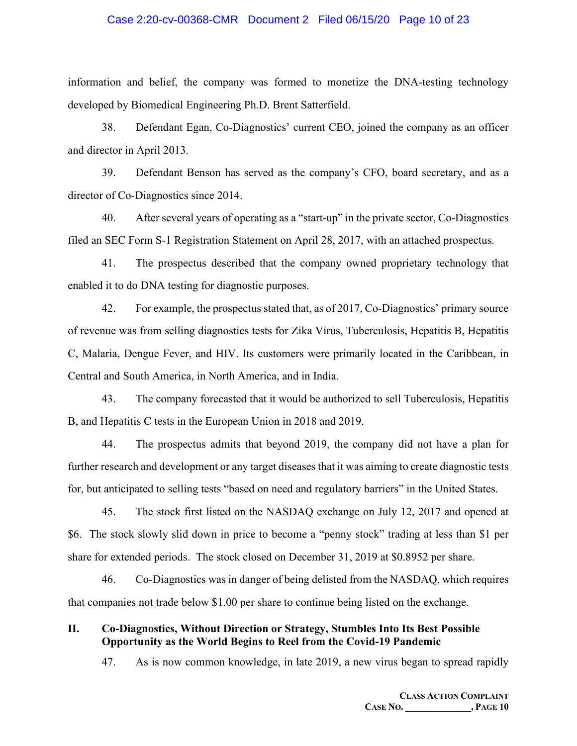#### Case 2:20-cv-00368-CMR Document 2 Filed 06/15/20 Page 10 of 23

information and belief, the company was formed to monetize the DNA-testing technology developed by Biomedical Engineering Ph.D. Brent Satterfield.

38. Defendant Egan, Co-Diagnostics' current CEO, joined the company as an officer and director in April 2013.

39. Defendant Benson has served as the company's CFO, board secretary, and as a director of Co-Diagnostics since 2014.

40. After several years of operating as a "start-up" in the private sector, Co-Diagnostics filed an SEC Form S-1 Registration Statement on April 28, 2017, with an attached prospectus.

41. The prospectus described that the company owned proprietary technology that enabled it to do DNA testing for diagnostic purposes.

42. For example, the prospectus stated that, as of 2017, Co-Diagnostics' primary source of revenue was from selling diagnostics tests for Zika Virus, Tuberculosis, Hepatitis B, Hepatitis C, Malaria, Dengue Fever, and HIV. Its customers were primarily located in the Caribbean, in Central and South America, in North America, and in India.

43. The company forecasted that it would be authorized to sell Tuberculosis, Hepatitis B, and Hepatitis C tests in the European Union in 2018 and 2019.

44. The prospectus admits that beyond 2019, the company did not have a plan for further research and development or any target diseases that it was aiming to create diagnostic tests for, but anticipated to selling tests "based on need and regulatory barriers" in the United States.

45. The stock first listed on the NASDAQ exchange on July 12, 2017 and opened at \$6. The stock slowly slid down in price to become a "penny stock" trading at less than \$1 per share for extended periods. The stock closed on December 31, 2019 at \$0.8952 per share.

46. Co-Diagnostics was in danger of being delisted from the NASDAQ, which requires that companies not trade below \$1.00 per share to continue being listed on the exchange.

## **II. Co-Diagnostics, Without Direction or Strategy, Stumbles Into Its Best Possible Opportunity as the World Begins to Reel from the Covid-19 Pandemic**

47. As is now common knowledge, in late 2019, a new virus began to spread rapidly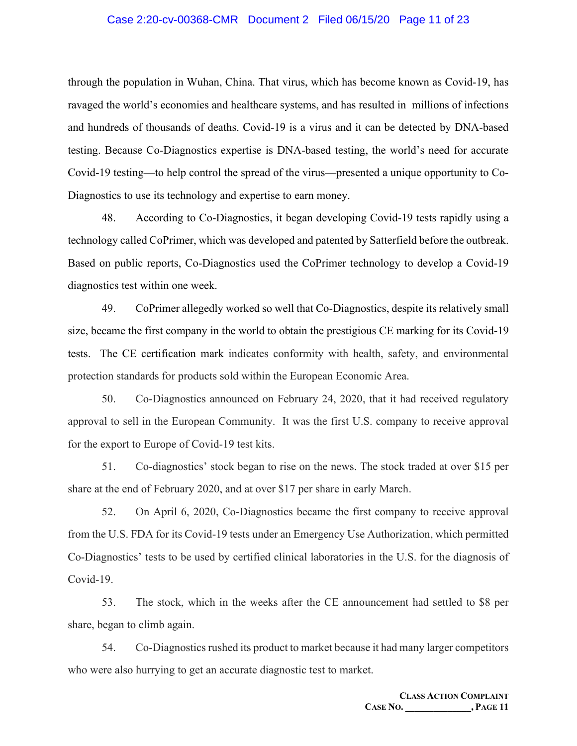#### Case 2:20-cv-00368-CMR Document 2 Filed 06/15/20 Page 11 of 23

through the population in Wuhan, China. That virus, which has become known as Covid-19, has ravaged the world's economies and healthcare systems, and has resulted in millions of infections and hundreds of thousands of deaths. Covid-19 is a virus and it can be detected by DNA-based testing. Because Co-Diagnostics expertise is DNA-based testing, the world's need for accurate Covid-19 testing—to help control the spread of the virus—presented a unique opportunity to Co-Diagnostics to use its technology and expertise to earn money.

48. According to Co-Diagnostics, it began developing Covid-19 tests rapidly using a technology called CoPrimer, which was developed and patented by Satterfield before the outbreak. Based on public reports, Co-Diagnostics used the CoPrimer technology to develop a Covid-19 diagnostics test within one week.

49. CoPrimer allegedly worked so well that Co-Diagnostics, despite its relatively small size, became the first company in the world to obtain the prestigious CE marking for its Covid-19 tests. The CE certification mark indicates conformity with health, safety, and environmental protection standards for products sold within the European Economic Area.

50. Co-Diagnostics announced on February 24, 2020, that it had received regulatory approval to sell in the European Community. It was the first U.S. company to receive approval for the export to Europe of Covid-19 test kits.

51. Co-diagnostics' stock began to rise on the news. The stock traded at over \$15 per share at the end of February 2020, and at over \$17 per share in early March.

52. On April 6, 2020, Co-Diagnostics became the first company to receive approval from the U.S. FDA for its Covid-19 tests under an Emergency Use Authorization, which permitted Co-Diagnostics' tests to be used by certified clinical laboratories in the U.S. for the diagnosis of Covid-19.

53. The stock, which in the weeks after the CE announcement had settled to \$8 per share, began to climb again.

54. Co-Diagnostics rushed its product to market because it had many larger competitors who were also hurrying to get an accurate diagnostic test to market.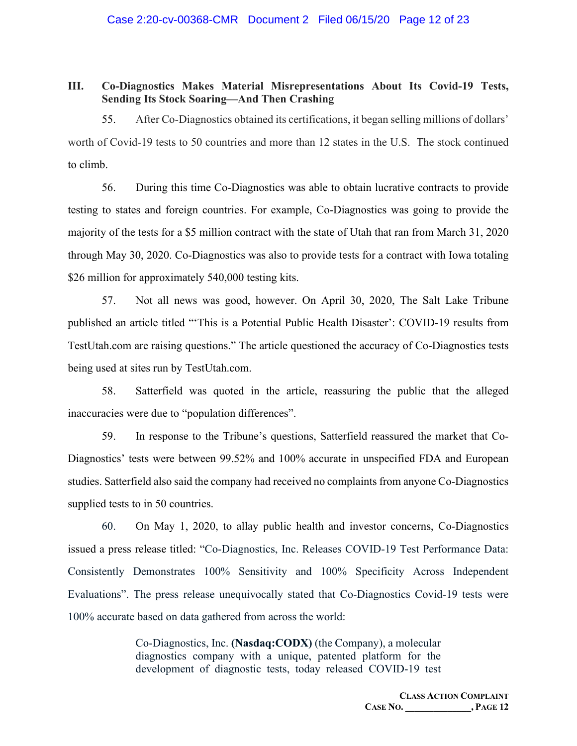## **III. Co-Diagnostics Makes Material Misrepresentations About Its Covid-19 Tests, Sending Its Stock Soaring—And Then Crashing**

55. After Co-Diagnostics obtained its certifications, it began selling millions of dollars' worth of Covid-19 tests to 50 countries and more than 12 states in the U.S. The stock continued to climb.

56. During this time Co-Diagnostics was able to obtain lucrative contracts to provide testing to states and foreign countries. For example, Co-Diagnostics was going to provide the majority of the tests for a \$5 million contract with the state of Utah that ran from March 31, 2020 through May 30, 2020. Co-Diagnostics was also to provide tests for a contract with Iowa totaling \$26 million for approximately 540,000 testing kits.

57. Not all news was good, however. On April 30, 2020, The Salt Lake Tribune published an article titled "'This is a Potential Public Health Disaster': COVID-19 results from TestUtah.com are raising questions." The article questioned the accuracy of Co-Diagnostics tests being used at sites run by TestUtah.com.

58. Satterfield was quoted in the article, reassuring the public that the alleged inaccuracies were due to "population differences".

59. In response to the Tribune's questions, Satterfield reassured the market that Co-Diagnostics' tests were between 99.52% and 100% accurate in unspecified FDA and European studies. Satterfield also said the company had received no complaints from anyone Co-Diagnostics supplied tests to in 50 countries.

60. On May 1, 2020, to allay public health and investor concerns, Co-Diagnostics issued a press release titled: "Co-Diagnostics, Inc. Releases COVID-19 Test Performance Data: Consistently Demonstrates 100% Sensitivity and 100% Specificity Across Independent Evaluations". The press release unequivocally stated that Co-Diagnostics Covid-19 tests were 100% accurate based on data gathered from across the world:

> Co-Diagnostics, Inc. **(Nasdaq:CODX)** (the Company), a molecular diagnostics company with a unique, patented platform for the development of diagnostic tests, today released COVID-19 test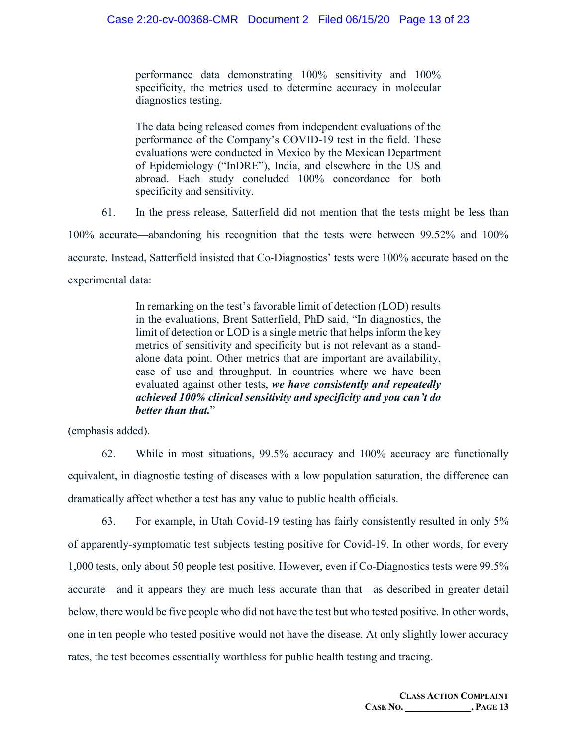performance data demonstrating 100% sensitivity and 100% specificity, the metrics used to determine accuracy in molecular diagnostics testing.

The data being released comes from independent evaluations of the performance of the Company's COVID-19 test in the field. These evaluations were conducted in Mexico by the Mexican Department of Epidemiology ("InDRE"), India, and elsewhere in the US and abroad. Each study concluded 100% concordance for both specificity and sensitivity.

61. In the press release, Satterfield did not mention that the tests might be less than

100% accurate—abandoning his recognition that the tests were between 99.52% and 100% accurate. Instead, Satterfield insisted that Co-Diagnostics' tests were 100% accurate based on the experimental data:

> In remarking on the test's favorable limit of detection (LOD) results in the evaluations, Brent Satterfield, PhD said, "In diagnostics, the limit of detection or LOD is a single metric that helps inform the key metrics of sensitivity and specificity but is not relevant as a standalone data point. Other metrics that are important are availability, ease of use and throughput. In countries where we have been evaluated against other tests, *we have consistently and repeatedly achieved 100% clinical sensitivity and specificity and you can't do better than that.*"

(emphasis added).

62. While in most situations, 99.5% accuracy and 100% accuracy are functionally equivalent, in diagnostic testing of diseases with a low population saturation, the difference can dramatically affect whether a test has any value to public health officials.

63. For example, in Utah Covid-19 testing has fairly consistently resulted in only 5% of apparently-symptomatic test subjects testing positive for Covid-19. In other words, for every 1,000 tests, only about 50 people test positive. However, even if Co-Diagnostics tests were 99.5% accurate—and it appears they are much less accurate than that—as described in greater detail below, there would be five people who did not have the test but who tested positive. In other words, one in ten people who tested positive would not have the disease. At only slightly lower accuracy rates, the test becomes essentially worthless for public health testing and tracing.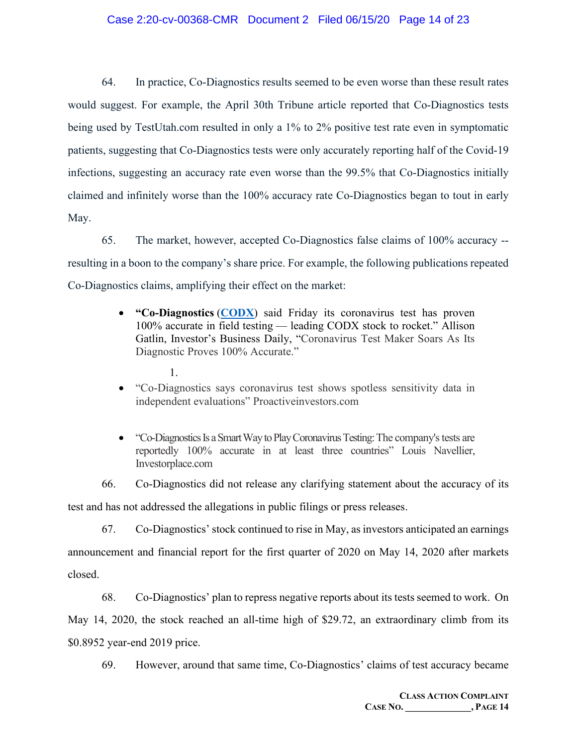## Case 2:20-cv-00368-CMR Document 2 Filed 06/15/20 Page 14 of 23

64. In practice, Co-Diagnostics results seemed to be even worse than these result rates would suggest. For example, the April 30th Tribune article reported that Co-Diagnostics tests being used by TestUtah.com resulted in only a 1% to 2% positive test rate even in symptomatic patients, suggesting that Co-Diagnostics tests were only accurately reporting half of the Covid-19 infections, suggesting an accuracy rate even worse than the 99.5% that Co-Diagnostics initially claimed and infinitely worse than the 100% accuracy rate Co-Diagnostics began to tout in early May.

65. The market, however, accepted Co-Diagnostics false claims of 100% accuracy - resulting in a boon to the company's share price. For example, the following publications repeated Co-Diagnostics claims, amplifying their effect on the market:

- **"Co-Diagnostics** (**[CODX](https://research.investors.com/quote.aspx?symbol=CODX)**) said Friday its coronavirus test has proven 100% accurate in field testing — leading CODX stock to rocket." Allison Gatlin, Investor's Business Daily, "Coronavirus Test Maker Soars As Its Diagnostic Proves 100% Accurate."
	- 1.
- "Co-Diagnostics says coronavirus test shows spotless sensitivity data in independent evaluations" Proactiveinvestors.com
- "Co-Diagnostics Is a Smart Way to Play Coronavirus Testing: The company's tests are reportedly 100% accurate in at least three countries" Louis Navellier, Investorplace.com

66. Co-Diagnostics did not release any clarifying statement about the accuracy of its test and has not addressed the allegations in public filings or press releases.

67. Co-Diagnostics' stock continued to rise in May, as investors anticipated an earnings announcement and financial report for the first quarter of 2020 on May 14, 2020 after markets closed.

68. Co-Diagnostics' plan to repress negative reports about its tests seemed to work. On May 14, 2020, the stock reached an all-time high of \$29.72, an extraordinary climb from its \$0.8952 year-end 2019 price.

69. However, around that same time, Co-Diagnostics' claims of test accuracy became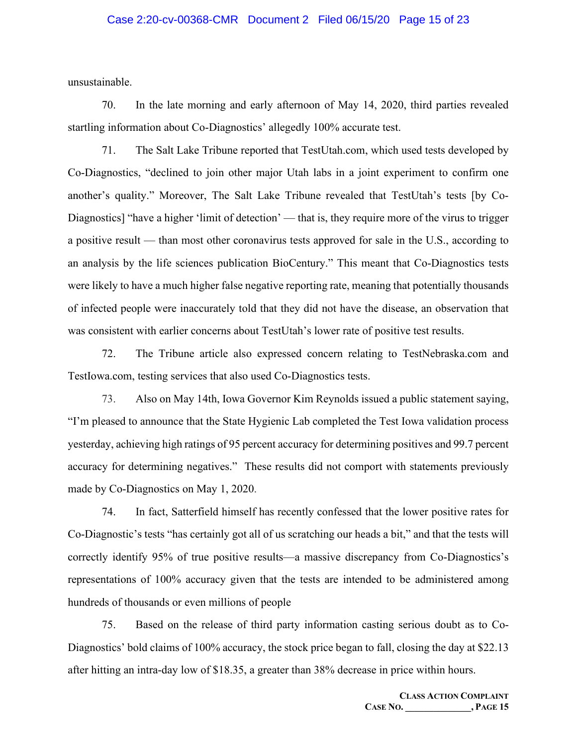#### Case 2:20-cv-00368-CMR Document 2 Filed 06/15/20 Page 15 of 23

unsustainable.

70. In the late morning and early afternoon of May 14, 2020, third parties revealed startling information about Co-Diagnostics' allegedly 100% accurate test.

71. The Salt Lake Tribune reported that TestUtah.com, which used tests developed by Co-Diagnostics, "declined to join other major Utah labs in a joint experiment to confirm one another's quality." Moreover, The Salt Lake Tribune revealed that TestUtah's tests [by Co-Diagnostics] "have a higher 'limit of detection' — that is, they require more of the virus to trigger a positive result — than most other coronavirus tests approved for sale in the U.S., according to an analysis by the life sciences publication BioCentury." This meant that Co-Diagnostics tests were likely to have a much higher false negative reporting rate, meaning that potentially thousands of infected people were inaccurately told that they did not have the disease, an observation that was consistent with earlier concerns about TestUtah's lower rate of positive test results.

72. The Tribune article also expressed concern relating to TestNebraska.com and TestIowa.com, testing services that also used Co-Diagnostics tests.

73. Also on May 14th, Iowa Governor Kim Reynolds issued a public statement saying, "I'm pleased to announce that the State Hygienic Lab completed the Test Iowa validation process yesterday, achieving high ratings of 95 percent accuracy for determining positives and 99.7 percent accuracy for determining negatives." These results did not comport with statements previously made by Co-Diagnostics on May 1, 2020.

74. In fact, Satterfield himself has recently confessed that the lower positive rates for Co-Diagnostic's tests "has certainly got all of us scratching our heads a bit," and that the tests will correctly identify 95% of true positive results—a massive discrepancy from Co-Diagnostics's representations of 100% accuracy given that the tests are intended to be administered among hundreds of thousands or even millions of people

75. Based on the release of third party information casting serious doubt as to Co-Diagnostics' bold claims of 100% accuracy, the stock price began to fall, closing the day at \$22.13 after hitting an intra-day low of \$18.35, a greater than 38% decrease in price within hours.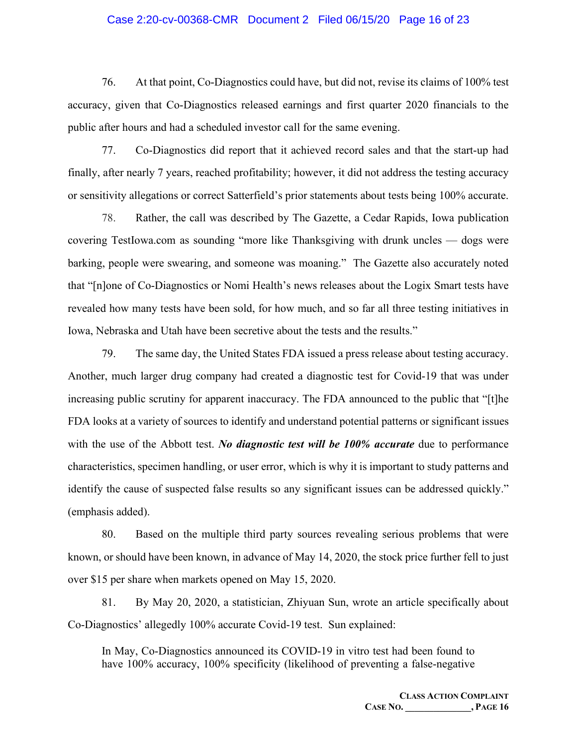#### Case 2:20-cv-00368-CMR Document 2 Filed 06/15/20 Page 16 of 23

76. At that point, Co-Diagnostics could have, but did not, revise its claims of 100% test accuracy, given that Co-Diagnostics released earnings and first quarter 2020 financials to the public after hours and had a scheduled investor call for the same evening.

77. Co-Diagnostics did report that it achieved record sales and that the start-up had finally, after nearly 7 years, reached profitability; however, it did not address the testing accuracy or sensitivity allegations or correct Satterfield's prior statements about tests being 100% accurate.

78. Rather, the call was described by The Gazette, a Cedar Rapids, Iowa publication covering TestIowa.com as sounding "more like Thanksgiving with drunk uncles — dogs were barking, people were swearing, and someone was moaning." The Gazette also accurately noted that "[n]one of Co-Diagnostics or Nomi Health's news releases about the Logix Smart tests have revealed how many tests have been sold, for how much, and so far all three testing initiatives in Iowa, Nebraska and Utah have been secretive about the tests and the results."

79. The same day, the United States FDA issued a press release about testing accuracy. Another, much larger drug company had created a diagnostic test for Covid-19 that was under increasing public scrutiny for apparent inaccuracy. The FDA announced to the public that "[t]he FDA looks at a variety of sources to identify and understand potential patterns or significant issues with the use of the Abbott test. *No diagnostic test will be 100% accurate* due to performance characteristics, specimen handling, or user error, which is why it is important to study patterns and identify the cause of suspected false results so any significant issues can be addressed quickly." (emphasis added).

80. Based on the multiple third party sources revealing serious problems that were known, or should have been known, in advance of May 14, 2020, the stock price further fell to just over \$15 per share when markets opened on May 15, 2020.

81. By May 20, 2020, a statistician, Zhiyuan Sun, wrote an article specifically about Co-Diagnostics' allegedly 100% accurate Covid-19 test. Sun explained:

In May, Co-Diagnostics announced its COVID-19 in vitro test had been found to have 100% accuracy, 100% specificity (likelihood of preventing a false-negative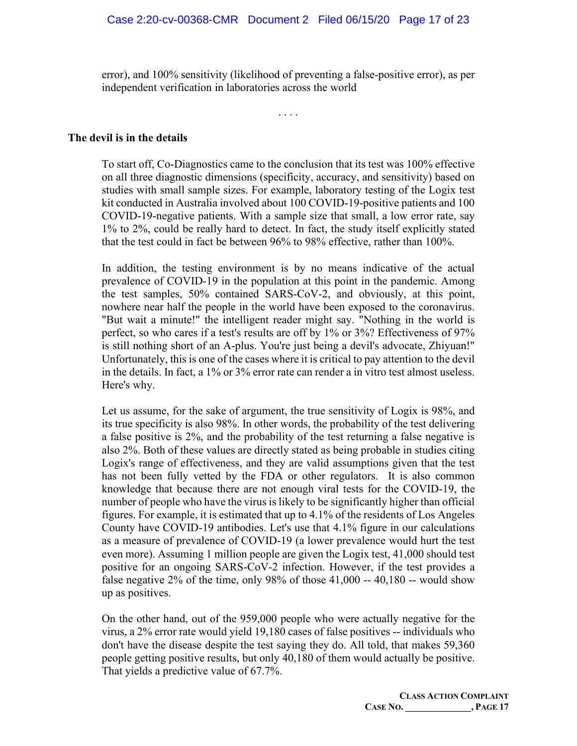error), and 100% sensitivity (likelihood of preventing a false-positive error), as per independent verification in laboratories across the world

. . . .

#### **The devil is in the details**

To start off, Co-Diagnostics came to the conclusion that its test was 100% effective on all three diagnostic dimensions (specificity, accuracy, and sensitivity) based on studies with small sample sizes. For example, laboratory testing of the Logix test kit conducted in Australia involved about 100 COVID-19-positive patients and 100 COVID-19-negative patients. With a sample size that small, a low error rate, say 1% to 2%, could be really hard to detect. In fact, the study itself explicitly stated that the test could in fact be between 96% to 98% effective, rather than 100%.

In addition, the testing environment is by no means indicative of the actual prevalence of COVID-19 in the population at this point in the pandemic. Among the test samples, 50% contained SARS-CoV-2, and obviously, at this point, nowhere near half the people in the world have been exposed to the coronavirus. "But wait a minute!" the intelligent reader might say. "Nothing in the world is perfect, so who cares if a test's results are off by 1% or 3%? Effectiveness of 97% is still nothing short of an A-plus. You're just being a devil's advocate, Zhiyuan!" Unfortunately, this is one of the cases where it is critical to pay attention to the devil in the details. In fact, a 1% or 3% error rate can render a in vitro test almost useless. Here's why.

Let us assume, for the sake of argument, the true sensitivity of Logix is 98%, and its true specificity is also 98%. In other words, the probability of the test delivering a false positive is 2%, and the probability of the test returning a false negative is also 2%. Both of these values are directly stated as being probable in studies citing Logix's range of effectiveness, and they are valid assumptions given that the test has not been fully vetted by the FDA or other regulators. It is also common knowledge that because there are not enough viral tests for the COVID-19, the number of people who have the virus is likely to be significantly higher than official figures. For example, it is estimated that up to 4.1% of the residents of Los Angeles County have COVID-19 antibodies. Let's use that 4.1% figure in our calculations as a measure of prevalence of COVID-19 (a lower prevalence would hurt the test even more). Assuming 1 million people are given the Logix test, 41,000 should test positive for an ongoing SARS-CoV-2 infection. However, if the test provides a false negative 2% of the time, only 98% of those 41,000 -- 40,180 -- would show up as positives.

On the other hand, out of the 959,000 people who were actually negative for the virus, a 2% error rate would yield 19,180 cases of false positives -- individuals who don't have the disease despite the test saying they do. All told, that makes 59,360 people getting positive results, but only 40,180 of them would actually be positive. That yields a predictive value of 67.7%.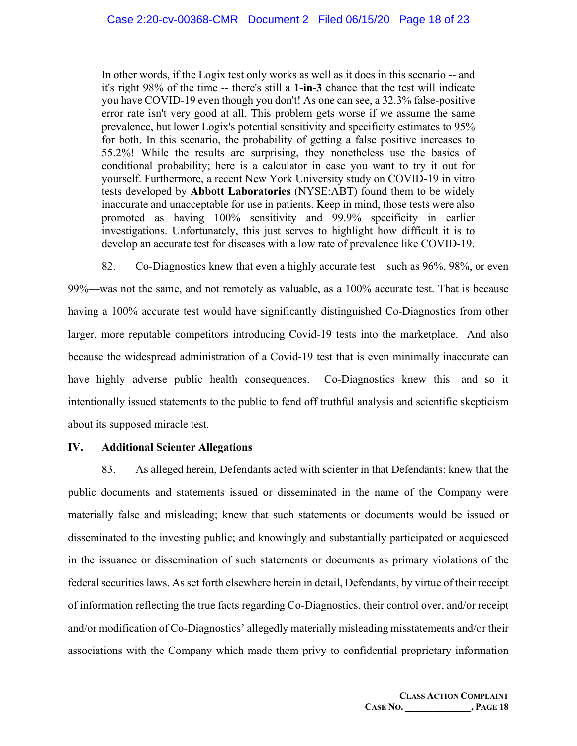In other words, if the Logix test only works as well as it does in this scenario -- and it's right 98% of the time -- there's still a **1-in-3** chance that the test will indicate you have COVID-19 even though you don't! As one can see, a 32.3% false-positive error rate isn't very good at all. This problem gets worse if we assume the same prevalence, but lower Logix's potential sensitivity and specificity estimates to 95% for both. In this scenario, the probability of getting a false positive increases to 55.2%! While the results are surprising, they nonetheless use the basics of conditional probability; here is a calculator in case you want to try it out for yourself. Furthermore, a recent New York University study on COVID-19 in vitro tests developed by **Abbott Laboratories** (NYSE:ABT) found them to be widely inaccurate and unacceptable for use in patients. Keep in mind, those tests were also promoted as having 100% sensitivity and 99.9% specificity in earlier investigations. Unfortunately, this just serves to highlight how difficult it is to develop an accurate test for diseases with a low rate of prevalence like COVID-19.

82. Co-Diagnostics knew that even a highly accurate test—such as 96%, 98%, or even 99%—was not the same, and not remotely as valuable, as a 100% accurate test. That is because having a 100% accurate test would have significantly distinguished Co-Diagnostics from other larger, more reputable competitors introducing Covid-19 tests into the marketplace. And also because the widespread administration of a Covid-19 test that is even minimally inaccurate can have highly adverse public health consequences. Co-Diagnostics knew this—and so it intentionally issued statements to the public to fend off truthful analysis and scientific skepticism about its supposed miracle test.

## **IV. Additional Scienter Allegations**

83. As alleged herein, Defendants acted with scienter in that Defendants: knew that the public documents and statements issued or disseminated in the name of the Company were materially false and misleading; knew that such statements or documents would be issued or disseminated to the investing public; and knowingly and substantially participated or acquiesced in the issuance or dissemination of such statements or documents as primary violations of the federal securities laws. As set forth elsewhere herein in detail, Defendants, by virtue of their receipt of information reflecting the true facts regarding Co-Diagnostics, their control over, and/or receipt and/or modification of Co-Diagnostics' allegedly materially misleading misstatements and/or their associations with the Company which made them privy to confidential proprietary information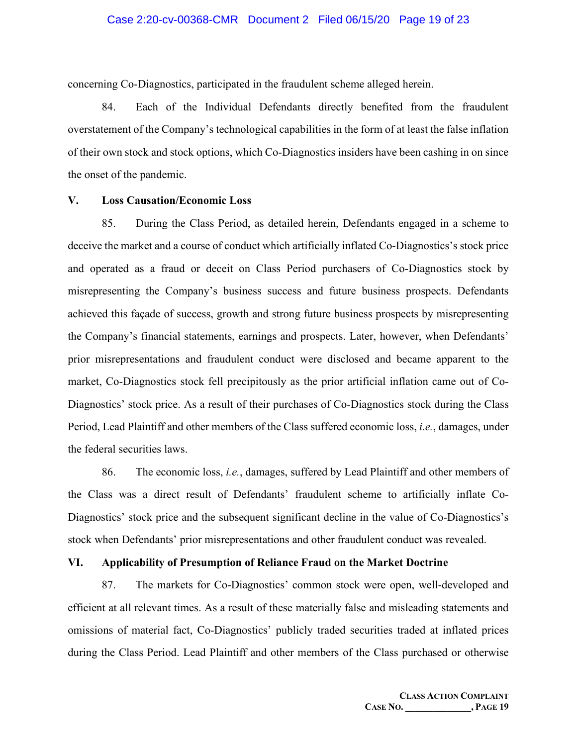concerning Co-Diagnostics, participated in the fraudulent scheme alleged herein.

84. Each of the Individual Defendants directly benefited from the fraudulent overstatement of the Company's technological capabilities in the form of at least the false inflation of their own stock and stock options, which Co-Diagnostics insiders have been cashing in on since the onset of the pandemic.

#### **V. Loss Causation/Economic Loss**

85. During the Class Period, as detailed herein, Defendants engaged in a scheme to deceive the market and a course of conduct which artificially inflated Co-Diagnostics's stock price and operated as a fraud or deceit on Class Period purchasers of Co-Diagnostics stock by misrepresenting the Company's business success and future business prospects. Defendants achieved this façade of success, growth and strong future business prospects by misrepresenting the Company's financial statements, earnings and prospects. Later, however, when Defendants' prior misrepresentations and fraudulent conduct were disclosed and became apparent to the market, Co-Diagnostics stock fell precipitously as the prior artificial inflation came out of Co-Diagnostics' stock price. As a result of their purchases of Co-Diagnostics stock during the Class Period, Lead Plaintiff and other members of the Class suffered economic loss, *i.e.*, damages, under the federal securities laws.

86. The economic loss, *i.e.*, damages, suffered by Lead Plaintiff and other members of the Class was a direct result of Defendants' fraudulent scheme to artificially inflate Co-Diagnostics' stock price and the subsequent significant decline in the value of Co-Diagnostics's stock when Defendants' prior misrepresentations and other fraudulent conduct was revealed.

#### **VI. Applicability of Presumption of Reliance Fraud on the Market Doctrine**

87. The markets for Co-Diagnostics' common stock were open, well-developed and efficient at all relevant times. As a result of these materially false and misleading statements and omissions of material fact, Co-Diagnostics' publicly traded securities traded at inflated prices during the Class Period. Lead Plaintiff and other members of the Class purchased or otherwise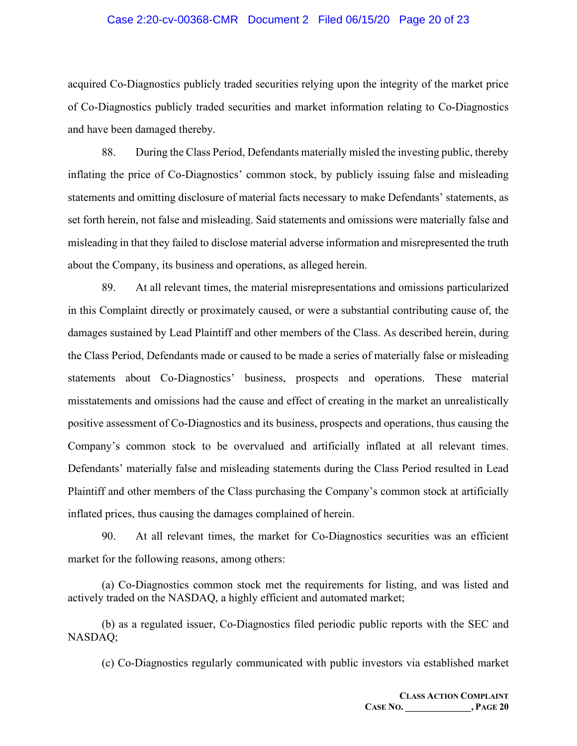#### Case 2:20-cv-00368-CMR Document 2 Filed 06/15/20 Page 20 of 23

acquired Co-Diagnostics publicly traded securities relying upon the integrity of the market price of Co-Diagnostics publicly traded securities and market information relating to Co-Diagnostics and have been damaged thereby.

88. During the Class Period, Defendants materially misled the investing public, thereby inflating the price of Co-Diagnostics' common stock, by publicly issuing false and misleading statements and omitting disclosure of material facts necessary to make Defendants' statements, as set forth herein, not false and misleading. Said statements and omissions were materially false and misleading in that they failed to disclose material adverse information and misrepresented the truth about the Company, its business and operations, as alleged herein.

89. At all relevant times, the material misrepresentations and omissions particularized in this Complaint directly or proximately caused, or were a substantial contributing cause of, the damages sustained by Lead Plaintiff and other members of the Class. As described herein, during the Class Period, Defendants made or caused to be made a series of materially false or misleading statements about Co-Diagnostics' business, prospects and operations. These material misstatements and omissions had the cause and effect of creating in the market an unrealistically positive assessment of Co-Diagnostics and its business, prospects and operations, thus causing the Company's common stock to be overvalued and artificially inflated at all relevant times. Defendants' materially false and misleading statements during the Class Period resulted in Lead Plaintiff and other members of the Class purchasing the Company's common stock at artificially inflated prices, thus causing the damages complained of herein.

90. At all relevant times, the market for Co-Diagnostics securities was an efficient market for the following reasons, among others:

(a) Co-Diagnostics common stock met the requirements for listing, and was listed and actively traded on the NASDAQ, a highly efficient and automated market;

(b) as a regulated issuer, Co-Diagnostics filed periodic public reports with the SEC and NASDAQ;

(c) Co-Diagnostics regularly communicated with public investors via established market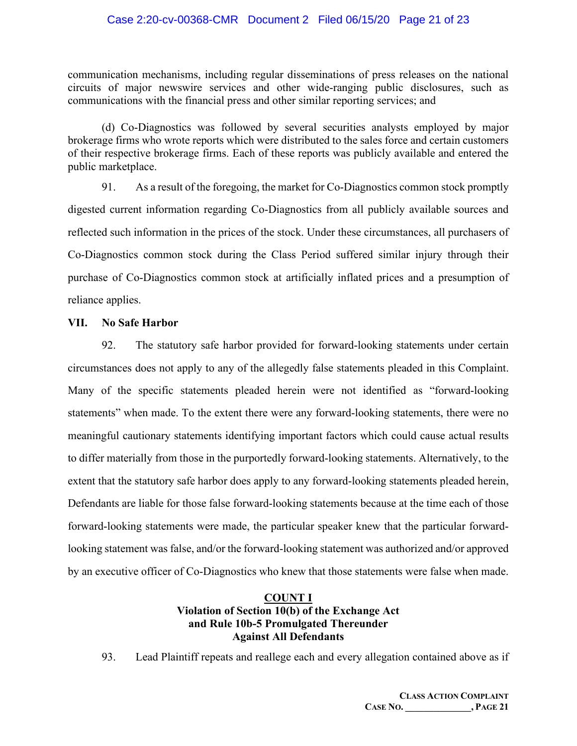## Case 2:20-cv-00368-CMR Document 2 Filed 06/15/20 Page 21 of 23

communication mechanisms, including regular disseminations of press releases on the national circuits of major newswire services and other wide-ranging public disclosures, such as communications with the financial press and other similar reporting services; and

(d) Co-Diagnostics was followed by several securities analysts employed by major brokerage firms who wrote reports which were distributed to the sales force and certain customers of their respective brokerage firms. Each of these reports was publicly available and entered the public marketplace.

91. As a result of the foregoing, the market for Co-Diagnostics common stock promptly digested current information regarding Co-Diagnostics from all publicly available sources and reflected such information in the prices of the stock. Under these circumstances, all purchasers of Co-Diagnostics common stock during the Class Period suffered similar injury through their purchase of Co-Diagnostics common stock at artificially inflated prices and a presumption of reliance applies.

## **VII. No Safe Harbor**

92. The statutory safe harbor provided for forward-looking statements under certain circumstances does not apply to any of the allegedly false statements pleaded in this Complaint. Many of the specific statements pleaded herein were not identified as "forward-looking statements" when made. To the extent there were any forward-looking statements, there were no meaningful cautionary statements identifying important factors which could cause actual results to differ materially from those in the purportedly forward-looking statements. Alternatively, to the extent that the statutory safe harbor does apply to any forward-looking statements pleaded herein, Defendants are liable for those false forward-looking statements because at the time each of those forward-looking statements were made, the particular speaker knew that the particular forwardlooking statement was false, and/or the forward-looking statement was authorized and/or approved by an executive officer of Co-Diagnostics who knew that those statements were false when made.

## **COUNT I Violation of Section 10(b) of the Exchange Act and Rule 10b-5 Promulgated Thereunder Against All Defendants**

93. Lead Plaintiff repeats and reallege each and every allegation contained above as if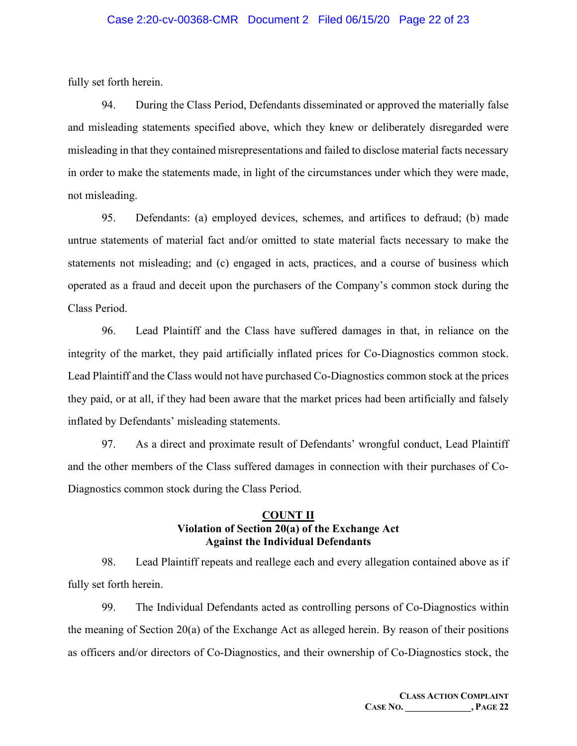fully set forth herein.

94. During the Class Period, Defendants disseminated or approved the materially false and misleading statements specified above, which they knew or deliberately disregarded were misleading in that they contained misrepresentations and failed to disclose material facts necessary in order to make the statements made, in light of the circumstances under which they were made, not misleading.

95. Defendants: (a) employed devices, schemes, and artifices to defraud; (b) made untrue statements of material fact and/or omitted to state material facts necessary to make the statements not misleading; and (c) engaged in acts, practices, and a course of business which operated as a fraud and deceit upon the purchasers of the Company's common stock during the Class Period.

96. Lead Plaintiff and the Class have suffered damages in that, in reliance on the integrity of the market, they paid artificially inflated prices for Co-Diagnostics common stock. Lead Plaintiff and the Class would not have purchased Co-Diagnostics common stock at the prices they paid, or at all, if they had been aware that the market prices had been artificially and falsely inflated by Defendants' misleading statements.

97. As a direct and proximate result of Defendants' wrongful conduct, Lead Plaintiff and the other members of the Class suffered damages in connection with their purchases of Co-Diagnostics common stock during the Class Period.

## **COUNT II Violation of Section 20(a) of the Exchange Act Against the Individual Defendants**

98. Lead Plaintiff repeats and reallege each and every allegation contained above as if fully set forth herein.

99. The Individual Defendants acted as controlling persons of Co-Diagnostics within the meaning of Section 20(a) of the Exchange Act as alleged herein. By reason of their positions as officers and/or directors of Co-Diagnostics, and their ownership of Co-Diagnostics stock, the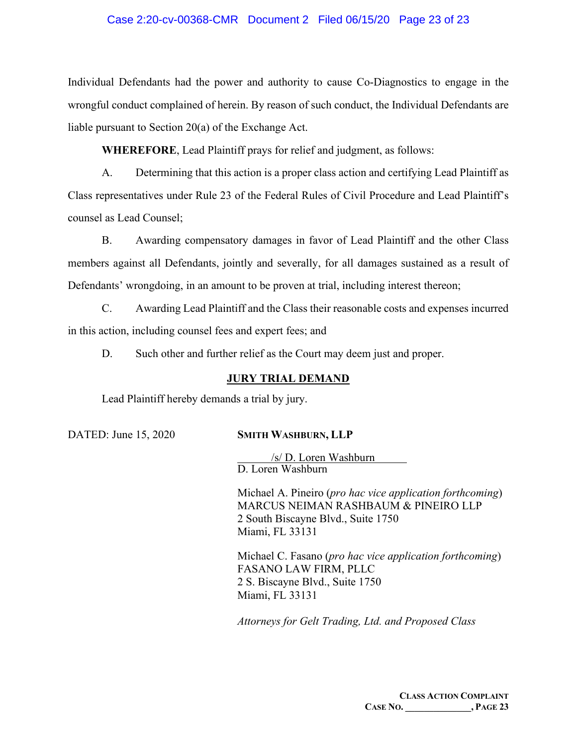## Case 2:20-cv-00368-CMR Document 2 Filed 06/15/20 Page 23 of 23

Individual Defendants had the power and authority to cause Co-Diagnostics to engage in the wrongful conduct complained of herein. By reason of such conduct, the Individual Defendants are liable pursuant to Section 20(a) of the Exchange Act.

**WHEREFORE**, Lead Plaintiff prays for relief and judgment, as follows:

A. Determining that this action is a proper class action and certifying Lead Plaintiff as Class representatives under Rule 23 of the Federal Rules of Civil Procedure and Lead Plaintiff's counsel as Lead Counsel;

B. Awarding compensatory damages in favor of Lead Plaintiff and the other Class members against all Defendants, jointly and severally, for all damages sustained as a result of Defendants' wrongdoing, in an amount to be proven at trial, including interest thereon;

C. Awarding Lead Plaintiff and the Class their reasonable costs and expenses incurred in this action, including counsel fees and expert fees; and

D. Such other and further relief as the Court may deem just and proper.

## **JURY TRIAL DEMAND**

Lead Plaintiff hereby demands a trial by jury.

## DATED: June 15, 2020 **SMITH WASHBURN, LLP**

/s/ D. Loren Washburn D. Loren Washburn

Michael A. Pineiro (*pro hac vice application forthcoming*) MARCUS NEIMAN RASHBAUM & PINEIRO LLP 2 South Biscayne Blvd., Suite 1750 Miami, FL 33131

Michael C. Fasano (*pro hac vice application forthcoming*) FASANO LAW FIRM, PLLC 2 S. Biscayne Blvd., Suite 1750 Miami, FL 33131

*Attorneys for Gelt Trading, Ltd. and Proposed Class*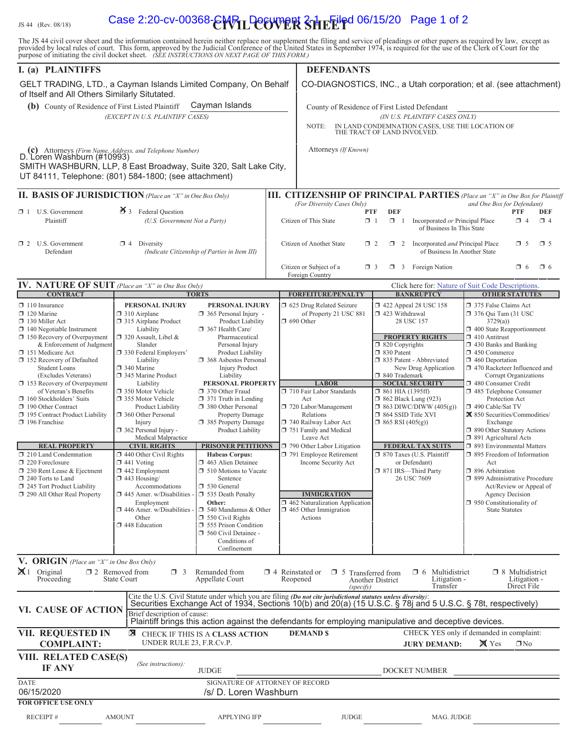# IS 44 (Rev. 08/18) **Case 2:20-cv-00368-CWTL DOCUTER SHEEIFD 06/15/20** Page 1 of 2

The JS 44 civil cover sheet and the information contained herein neither replace nor supplement the filing and service of pleadings or other papers as required by law, except as provided by local rules of court. This form,

| I. (a) PLAINTIFFS                                                                                                                                                                                                                                                                                                                                                                                                                                                                                                                                                                                                                                    |                                                                                                                                                                                                                                                                                                                                                                                                                                                                                                                                                                                                                                                           |                                                                                                                                                                                                                                                                                                                                                                                                                                                                                                                                                                                                                                                           |                        | <b>DEFENDANTS</b>                                                                                                                                                                                                                                                                                                                                                                                                          |                                                                                                                                                                                                                                                                                                                                                                                                                                                                                       |                                                                                                                                                                                                                                                                                                                                                                                                                                                                                                                                                                                                                                                                                                                        |
|------------------------------------------------------------------------------------------------------------------------------------------------------------------------------------------------------------------------------------------------------------------------------------------------------------------------------------------------------------------------------------------------------------------------------------------------------------------------------------------------------------------------------------------------------------------------------------------------------------------------------------------------------|-----------------------------------------------------------------------------------------------------------------------------------------------------------------------------------------------------------------------------------------------------------------------------------------------------------------------------------------------------------------------------------------------------------------------------------------------------------------------------------------------------------------------------------------------------------------------------------------------------------------------------------------------------------|-----------------------------------------------------------------------------------------------------------------------------------------------------------------------------------------------------------------------------------------------------------------------------------------------------------------------------------------------------------------------------------------------------------------------------------------------------------------------------------------------------------------------------------------------------------------------------------------------------------------------------------------------------------|------------------------|----------------------------------------------------------------------------------------------------------------------------------------------------------------------------------------------------------------------------------------------------------------------------------------------------------------------------------------------------------------------------------------------------------------------------|---------------------------------------------------------------------------------------------------------------------------------------------------------------------------------------------------------------------------------------------------------------------------------------------------------------------------------------------------------------------------------------------------------------------------------------------------------------------------------------|------------------------------------------------------------------------------------------------------------------------------------------------------------------------------------------------------------------------------------------------------------------------------------------------------------------------------------------------------------------------------------------------------------------------------------------------------------------------------------------------------------------------------------------------------------------------------------------------------------------------------------------------------------------------------------------------------------------------|
| GELT TRADING, LTD., a Cayman Islands Limited Company, On Behalf<br>of Itself and All Others Similarly Situtated.                                                                                                                                                                                                                                                                                                                                                                                                                                                                                                                                     |                                                                                                                                                                                                                                                                                                                                                                                                                                                                                                                                                                                                                                                           |                                                                                                                                                                                                                                                                                                                                                                                                                                                                                                                                                                                                                                                           |                        | CO-DIAGNOSTICS, INC., a Utah corporation; et al. (see attachment)                                                                                                                                                                                                                                                                                                                                                          |                                                                                                                                                                                                                                                                                                                                                                                                                                                                                       |                                                                                                                                                                                                                                                                                                                                                                                                                                                                                                                                                                                                                                                                                                                        |
| Cayman Islands<br>(b) County of Residence of First Listed Plaintiff<br>(EXCEPT IN U.S. PLAINTIFF CASES)                                                                                                                                                                                                                                                                                                                                                                                                                                                                                                                                              |                                                                                                                                                                                                                                                                                                                                                                                                                                                                                                                                                                                                                                                           |                                                                                                                                                                                                                                                                                                                                                                                                                                                                                                                                                                                                                                                           |                        | County of Residence of First Listed Defendant<br>(IN U.S. PLAINTIFF CASES ONLY)<br>NOTE:<br>IN LAND CONDEMNATION CASES, USE THE LOCATION OF<br>THE TRACT OF LAND INVOLVED.                                                                                                                                                                                                                                                 |                                                                                                                                                                                                                                                                                                                                                                                                                                                                                       |                                                                                                                                                                                                                                                                                                                                                                                                                                                                                                                                                                                                                                                                                                                        |
| (c) Attorneys (Firm Name, Address, and Telephone Number)<br>D. Loren Washburn (#10993)<br>SMITH WASHBURN, LLP, 8 East Broadway, Suite 320, Salt Lake City,<br>UT 84111, Telephone: (801) 584-1800; (see attachment)                                                                                                                                                                                                                                                                                                                                                                                                                                  |                                                                                                                                                                                                                                                                                                                                                                                                                                                                                                                                                                                                                                                           |                                                                                                                                                                                                                                                                                                                                                                                                                                                                                                                                                                                                                                                           |                        | Attorneys (If Known)                                                                                                                                                                                                                                                                                                                                                                                                       |                                                                                                                                                                                                                                                                                                                                                                                                                                                                                       |                                                                                                                                                                                                                                                                                                                                                                                                                                                                                                                                                                                                                                                                                                                        |
| <b>II. BASIS OF JURISDICTION</b> (Place an "X" in One Box Only)                                                                                                                                                                                                                                                                                                                                                                                                                                                                                                                                                                                      |                                                                                                                                                                                                                                                                                                                                                                                                                                                                                                                                                                                                                                                           |                                                                                                                                                                                                                                                                                                                                                                                                                                                                                                                                                                                                                                                           |                        |                                                                                                                                                                                                                                                                                                                                                                                                                            |                                                                                                                                                                                                                                                                                                                                                                                                                                                                                       | <b>III. CITIZENSHIP OF PRINCIPAL PARTIES</b> (Place an "X" in One Box for Plaintiff                                                                                                                                                                                                                                                                                                                                                                                                                                                                                                                                                                                                                                    |
| $\Box$ 1 U.S. Government<br>Plaintiff                                                                                                                                                                                                                                                                                                                                                                                                                                                                                                                                                                                                                | $\cancel{\bullet}$ 3 Federal Question<br>(U.S. Government Not a Party)                                                                                                                                                                                                                                                                                                                                                                                                                                                                                                                                                                                    |                                                                                                                                                                                                                                                                                                                                                                                                                                                                                                                                                                                                                                                           |                        | (For Diversity Cases Only)<br>and One Box for Defendant)<br><b>DEF</b><br><b>PTF</b><br>PTF<br>DEF<br>$\Box$ 1<br>Incorporated or Principal Place<br>Citizen of This State<br>$\Box$ 1<br>$\Box$ 4<br>$\Box$ 4<br>of Business In This State                                                                                                                                                                                |                                                                                                                                                                                                                                                                                                                                                                                                                                                                                       |                                                                                                                                                                                                                                                                                                                                                                                                                                                                                                                                                                                                                                                                                                                        |
| $\Box$ 2 U.S. Government<br>Defendant                                                                                                                                                                                                                                                                                                                                                                                                                                                                                                                                                                                                                | $\Box$ 4 Diversity                                                                                                                                                                                                                                                                                                                                                                                                                                                                                                                                                                                                                                        | (Indicate Citizenship of Parties in Item III)                                                                                                                                                                                                                                                                                                                                                                                                                                                                                                                                                                                                             |                        | Citizen of Another State<br>$\Box$ 2<br>Citizen or Subject of a                                                                                                                                                                                                                                                                                                                                                            | Incorporated and Principal Place<br>$\Box$ 2<br>of Business In Another State<br>$\Box$ 3 Foreign Nation<br>$\Box$ 3                                                                                                                                                                                                                                                                                                                                                                   | $\Box$ 5<br>$\Box$ 5<br>$\Box$ 6<br>$\Box$ 6                                                                                                                                                                                                                                                                                                                                                                                                                                                                                                                                                                                                                                                                           |
|                                                                                                                                                                                                                                                                                                                                                                                                                                                                                                                                                                                                                                                      |                                                                                                                                                                                                                                                                                                                                                                                                                                                                                                                                                                                                                                                           |                                                                                                                                                                                                                                                                                                                                                                                                                                                                                                                                                                                                                                                           |                        | Foreign Country                                                                                                                                                                                                                                                                                                                                                                                                            |                                                                                                                                                                                                                                                                                                                                                                                                                                                                                       |                                                                                                                                                                                                                                                                                                                                                                                                                                                                                                                                                                                                                                                                                                                        |
| <b>CONTRACT</b>                                                                                                                                                                                                                                                                                                                                                                                                                                                                                                                                                                                                                                      | IV. NATURE OF SUIT (Place an "X" in One Box Only)<br><b>TORTS</b>                                                                                                                                                                                                                                                                                                                                                                                                                                                                                                                                                                                         |                                                                                                                                                                                                                                                                                                                                                                                                                                                                                                                                                                                                                                                           |                        | <b>FORFEITURE/PENALTY</b>                                                                                                                                                                                                                                                                                                                                                                                                  | <b>BANKRUPTCY</b>                                                                                                                                                                                                                                                                                                                                                                                                                                                                     | Click here for: Nature of Suit Code Descriptions.<br><b>OTHER STATUTES</b>                                                                                                                                                                                                                                                                                                                                                                                                                                                                                                                                                                                                                                             |
| $\Box$ 110 Insurance<br>$\Box$ 120 Marine<br>$\Box$ 130 Miller Act<br>$\Box$ 140 Negotiable Instrument<br>$\Box$ 150 Recovery of Overpayment<br>& Enforcement of Judgment<br>151 Medicare Act<br>□ 152 Recovery of Defaulted<br><b>Student Loans</b><br>(Excludes Veterans)<br>$\Box$ 153 Recovery of Overpayment<br>of Veteran's Benefits<br>160 Stockholders' Suits<br>190 Other Contract<br>195 Contract Product Liability<br>$\Box$ 196 Franchise<br><b>REAL PROPERTY</b><br>$\Box$ 210 Land Condemnation<br>220 Foreclosure<br>□ 230 Rent Lease & Ejectment<br>240 Torts to Land<br>□ 245 Tort Product Liability<br>290 All Other Real Property | PERSONAL INJURY<br>$\Box$ 310 Airplane<br>□ 315 Airplane Product<br>Liability<br>$\Box$ 320 Assault, Libel &<br>Slander<br>□ 330 Federal Employers'<br>Liability<br>□ 340 Marine<br>345 Marine Product<br>Liability<br>□ 350 Motor Vehicle<br>□ 355 Motor Vehicle<br>Product Liability<br>360 Other Personal<br>Injury<br>362 Personal Injury -<br>Medical Malpractice<br><b>CIVIL RIGHTS</b><br>$\Box$ 440 Other Civil Rights<br>$\Box$ 441 Voting<br>$\Box$ 442 Employment<br>$\Box$ 443 Housing/<br>Accommodations<br>$\Box$ 445 Amer. w/Disabilities - $\Box$ 535 Death Penalty<br>Employment<br>446 Amer. w/Disabilities -<br>Other<br>448 Education | PERSONAL INJURY<br>365 Personal Injury -<br>Product Liability<br>367 Health Care/<br>Pharmaceutical<br>Personal Injury<br>Product Liability<br>□ 368 Asbestos Personal<br><b>Injury Product</b><br>Liability<br>PERSONAL PROPERTY<br>370 Other Fraud<br>$\Box$ 371 Truth in Lending<br>380 Other Personal<br>Property Damage<br>385 Property Damage<br>Product Liability<br><b>PRISONER PETITIONS</b><br><b>Habeas Corpus:</b><br>1 463 Alien Detainee<br>□ 510 Motions to Vacate<br>Sentence<br>530 General<br>Other:<br>540 Mandamus & Other<br>$\Box$ 550 Civil Rights<br>555 Prison Condition<br>560 Civil Detainee -<br>Conditions of<br>Confinement |                        | 5 625 Drug Related Seizure<br>of Property 21 USC 881<br>$\Box$ 690 Other<br><b>LABOR</b><br>710 Fair Labor Standards<br>Act<br>720 Labor/Management<br>Relations<br>740 Railway Labor Act<br>751 Family and Medical<br>Leave Act<br>790 Other Labor Litigation<br>791 Employee Retirement<br>Income Security Act<br><b>IMMIGRATION</b><br>$\Box$ 462 Naturalization Application<br>$\Box$ 465 Other Immigration<br>Actions | 158 122 Appeal 28 USC 158<br>423 Withdrawal<br>28 USC 157<br><b>PROPERTY RIGHTS</b><br>□ 820 Copyrights<br>□ 830 Patent<br>□ 835 Patent - Abbreviated<br>New Drug Application<br>□ 840 Trademark<br><b>SOCIAL SECURITY</b><br>$\Box$ 861 HIA (1395ff)<br>$\Box$ 862 Black Lung (923)<br>$\Box$ 863 DIWC/DIWW (405(g))<br>□ 864 SSID Title XVI<br>$\Box$ 865 RSI (405(g))<br>FEDERAL TAX SUITS<br>□ 870 Taxes (U.S. Plaintiff<br>or Defendant)<br>□ 871 IRS-Third Party<br>26 USC 7609 | 375 False Claims Act<br>$\Box$ 376 Qui Tam (31 USC)<br>3729(a)<br>$\Box$ 400 State Reapportionment<br>$\Box$ 410 Antitrust<br>$\Box$ 430 Banks and Banking<br>$\Box$ 450 Commerce<br>$\Box$ 460 Deportation<br>1 470 Racketeer Influenced and<br>Corrupt Organizations<br>480 Consumer Credit<br>□ 485 Telephone Consumer<br>Protection Act<br>490 Cable/Sat TV<br>区 850 Securities/Commodities/<br>Exchange<br>□ 890 Other Statutory Actions<br>□ 891 Agricultural Acts<br>□ 893 Environmental Matters<br>□ 895 Freedom of Information<br>Act<br>□ 896 Arbitration<br>□ 899 Administrative Procedure<br>Act/Review or Appeal of<br><b>Agency Decision</b><br>$\Box$ 950 Constitutionality of<br><b>State Statutes</b> |
| V. ORIGIN (Place an "X" in One Box Only)<br>$\mathbb{X}$ 1 Original<br>Proceeding                                                                                                                                                                                                                                                                                                                                                                                                                                                                                                                                                                    | $\Box$ 2 Removed from<br>$\Box$ 3<br><b>State Court</b>                                                                                                                                                                                                                                                                                                                                                                                                                                                                                                                                                                                                   | Remanded from<br>Appellate Court                                                                                                                                                                                                                                                                                                                                                                                                                                                                                                                                                                                                                          | $\Box$ 4 Reinstated or | $\Box$ 5 Transferred from<br>Reopened<br>(specify)                                                                                                                                                                                                                                                                                                                                                                         | $\Box$ 6 Multidistrict<br>Litigation -<br><b>Another District</b><br>Transfer                                                                                                                                                                                                                                                                                                                                                                                                         | $\Box$ 8 Multidistrict<br>Litigation -<br>Direct File                                                                                                                                                                                                                                                                                                                                                                                                                                                                                                                                                                                                                                                                  |
| VI. CAUSE OF ACTION                                                                                                                                                                                                                                                                                                                                                                                                                                                                                                                                                                                                                                  | Brief description of cause:                                                                                                                                                                                                                                                                                                                                                                                                                                                                                                                                                                                                                               |                                                                                                                                                                                                                                                                                                                                                                                                                                                                                                                                                                                                                                                           |                        |                                                                                                                                                                                                                                                                                                                                                                                                                            | Cite the U.S. Civil Statute under which you are filing (Do not cite jurisdictional statutes unless diversity):<br>Securities Exchange Act of 1934, Sections 10(b) and 20(a) (15 U.S.C. § 78j and 5 U.S.C. § 78t, respectively)<br>Plaintiff brings this action against the defendants for employing manipulative and deceptive devices.                                                                                                                                               |                                                                                                                                                                                                                                                                                                                                                                                                                                                                                                                                                                                                                                                                                                                        |
| <b>VII. REQUESTED IN</b><br><b>COMPLAINT:</b>                                                                                                                                                                                                                                                                                                                                                                                                                                                                                                                                                                                                        | ⊠<br>UNDER RULE 23, F.R.Cv.P.                                                                                                                                                                                                                                                                                                                                                                                                                                                                                                                                                                                                                             | CHECK IF THIS IS A CLASS ACTION                                                                                                                                                                                                                                                                                                                                                                                                                                                                                                                                                                                                                           |                        | <b>DEMANDS</b>                                                                                                                                                                                                                                                                                                                                                                                                             | <b>JURY DEMAND:</b>                                                                                                                                                                                                                                                                                                                                                                                                                                                                   | CHECK YES only if demanded in complaint:<br>$\mathbb{X}$ Yes<br>$\Box$ No                                                                                                                                                                                                                                                                                                                                                                                                                                                                                                                                                                                                                                              |
| VIII. RELATED CASE(S)<br><b>IF ANY</b>                                                                                                                                                                                                                                                                                                                                                                                                                                                                                                                                                                                                               | (See instructions):                                                                                                                                                                                                                                                                                                                                                                                                                                                                                                                                                                                                                                       | <b>JUDGE</b>                                                                                                                                                                                                                                                                                                                                                                                                                                                                                                                                                                                                                                              |                        |                                                                                                                                                                                                                                                                                                                                                                                                                            | DOCKET NUMBER                                                                                                                                                                                                                                                                                                                                                                                                                                                                         |                                                                                                                                                                                                                                                                                                                                                                                                                                                                                                                                                                                                                                                                                                                        |
| <b>DATE</b><br>06/15/2020<br><b>FOR OFFICE USE ONLY</b>                                                                                                                                                                                                                                                                                                                                                                                                                                                                                                                                                                                              | SIGNATURE OF ATTORNEY OF RECORD<br>/s/ D. Loren Washburn                                                                                                                                                                                                                                                                                                                                                                                                                                                                                                                                                                                                  |                                                                                                                                                                                                                                                                                                                                                                                                                                                                                                                                                                                                                                                           |                        |                                                                                                                                                                                                                                                                                                                                                                                                                            |                                                                                                                                                                                                                                                                                                                                                                                                                                                                                       |                                                                                                                                                                                                                                                                                                                                                                                                                                                                                                                                                                                                                                                                                                                        |
| <b>RECEIPT#</b>                                                                                                                                                                                                                                                                                                                                                                                                                                                                                                                                                                                                                                      | <b>AMOUNT</b>                                                                                                                                                                                                                                                                                                                                                                                                                                                                                                                                                                                                                                             | <b>APPLYING IFP</b>                                                                                                                                                                                                                                                                                                                                                                                                                                                                                                                                                                                                                                       |                        | <b>JUDGE</b>                                                                                                                                                                                                                                                                                                                                                                                                               | MAG. JUDGE                                                                                                                                                                                                                                                                                                                                                                                                                                                                            |                                                                                                                                                                                                                                                                                                                                                                                                                                                                                                                                                                                                                                                                                                                        |